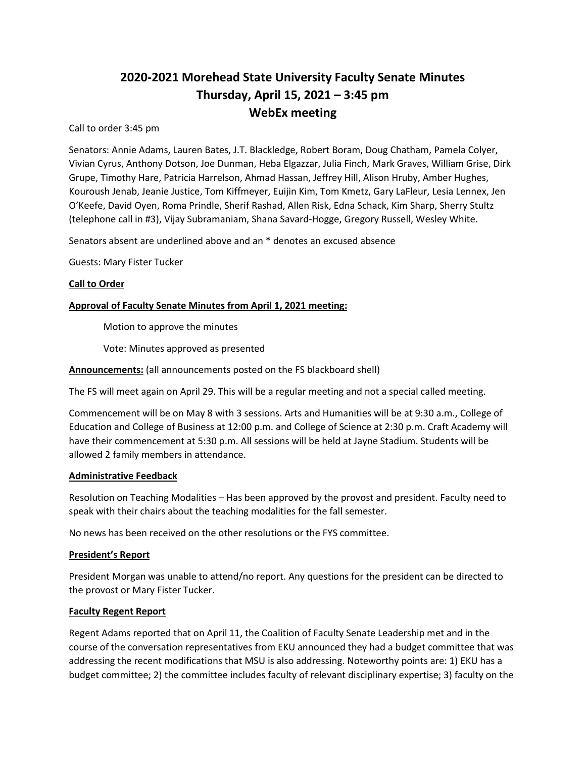# **2020-2021 Morehead State University Faculty Senate Minutes Thursday, April 15, 2021 – 3:45 pm WebEx meeting**

Call to order 3:45 pm

Senators: Annie Adams, Lauren Bates, J.T. Blackledge, Robert Boram, Doug Chatham, Pamela Colyer, Vivian Cyrus, Anthony Dotson, Joe Dunman, Heba Elgazzar, Julia Finch, Mark Graves, William Grise, Dirk Grupe, Timothy Hare, Patricia Harrelson, Ahmad Hassan, Jeffrey Hill, Alison Hruby, Amber Hughes, Kouroush Jenab, Jeanie Justice, Tom Kiffmeyer, Euijin Kim, Tom Kmetz, Gary LaFleur, Lesia Lennex, Jen O'Keefe, David Oyen, Roma Prindle, Sherif Rashad, Allen Risk, Edna Schack, Kim Sharp, Sherry Stultz (telephone call in #3), Vijay Subramaniam, Shana Savard-Hogge, Gregory Russell, Wesley White.

Senators absent are underlined above and an \* denotes an excused absence

Guests: Mary Fister Tucker

## **Call to Order**

# **Approval of Faculty Senate Minutes from April 1, 2021 meeting:**

Motion to approve the minutes

Vote: Minutes approved as presented

**Announcements:** (all announcements posted on the FS blackboard shell)

The FS will meet again on April 29. This will be a regular meeting and not a special called meeting.

Commencement will be on May 8 with 3 sessions. Arts and Humanities will be at 9:30 a.m., College of Education and College of Business at 12:00 p.m. and College of Science at 2:30 p.m. Craft Academy will have their commencement at 5:30 p.m. All sessions will be held at Jayne Stadium. Students will be allowed 2 family members in attendance.

#### **Administrative Feedback**

Resolution on Teaching Modalities – Has been approved by the provost and president. Faculty need to speak with their chairs about the teaching modalities for the fall semester.

No news has been received on the other resolutions or the FYS committee.

#### **President's Report**

President Morgan was unable to attend/no report. Any questions for the president can be directed to the provost or Mary Fister Tucker.

#### **Faculty Regent Report**

Regent Adams reported that on April 11, the Coalition of Faculty Senate Leadership met and in the course of the conversation representatives from EKU announced they had a budget committee that was addressing the recent modifications that MSU is also addressing. Noteworthy points are: 1) EKU has a budget committee; 2) the committee includes faculty of relevant disciplinary expertise; 3) faculty on the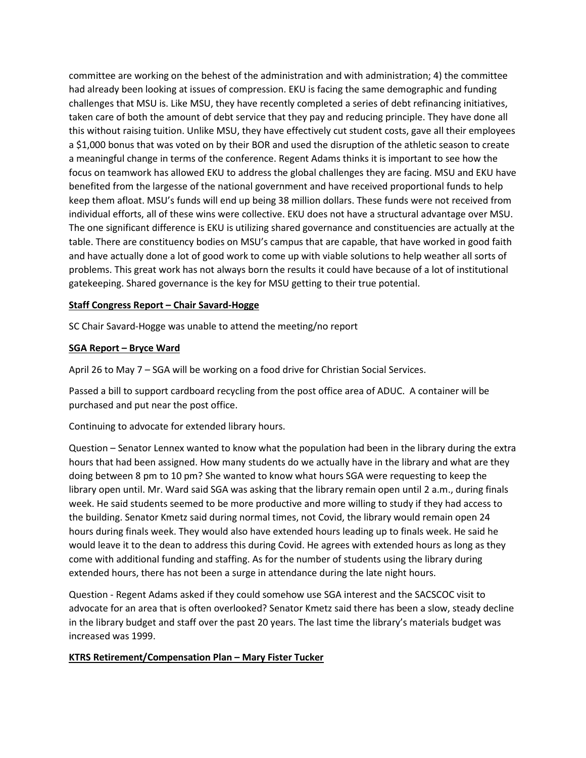committee are working on the behest of the administration and with administration; 4) the committee had already been looking at issues of compression. EKU is facing the same demographic and funding challenges that MSU is. Like MSU, they have recently completed a series of debt refinancing initiatives, taken care of both the amount of debt service that they pay and reducing principle. They have done all this without raising tuition. Unlike MSU, they have effectively cut student costs, gave all their employees a \$1,000 bonus that was voted on by their BOR and used the disruption of the athletic season to create a meaningful change in terms of the conference. Regent Adams thinks it is important to see how the focus on teamwork has allowed EKU to address the global challenges they are facing. MSU and EKU have benefited from the largesse of the national government and have received proportional funds to help keep them afloat. MSU's funds will end up being 38 million dollars. These funds were not received from individual efforts, all of these wins were collective. EKU does not have a structural advantage over MSU. The one significant difference is EKU is utilizing shared governance and constituencies are actually at the table. There are constituency bodies on MSU's campus that are capable, that have worked in good faith and have actually done a lot of good work to come up with viable solutions to help weather all sorts of problems. This great work has not always born the results it could have because of a lot of institutional gatekeeping. Shared governance is the key for MSU getting to their true potential.

#### **Staff Congress Report – Chair Savard-Hogge**

SC Chair Savard-Hogge was unable to attend the meeting/no report

#### **SGA Report – Bryce Ward**

April 26 to May 7 – SGA will be working on a food drive for Christian Social Services.

Passed a bill to support cardboard recycling from the post office area of ADUC. A container will be purchased and put near the post office.

Continuing to advocate for extended library hours.

Question – Senator Lennex wanted to know what the population had been in the library during the extra hours that had been assigned. How many students do we actually have in the library and what are they doing between 8 pm to 10 pm? She wanted to know what hours SGA were requesting to keep the library open until. Mr. Ward said SGA was asking that the library remain open until 2 a.m., during finals week. He said students seemed to be more productive and more willing to study if they had access to the building. Senator Kmetz said during normal times, not Covid, the library would remain open 24 hours during finals week. They would also have extended hours leading up to finals week. He said he would leave it to the dean to address this during Covid. He agrees with extended hours as long as they come with additional funding and staffing. As for the number of students using the library during extended hours, there has not been a surge in attendance during the late night hours.

Question - Regent Adams asked if they could somehow use SGA interest and the SACSCOC visit to advocate for an area that is often overlooked? Senator Kmetz said there has been a slow, steady decline in the library budget and staff over the past 20 years. The last time the library's materials budget was increased was 1999.

# **KTRS Retirement/Compensation Plan – Mary Fister Tucker**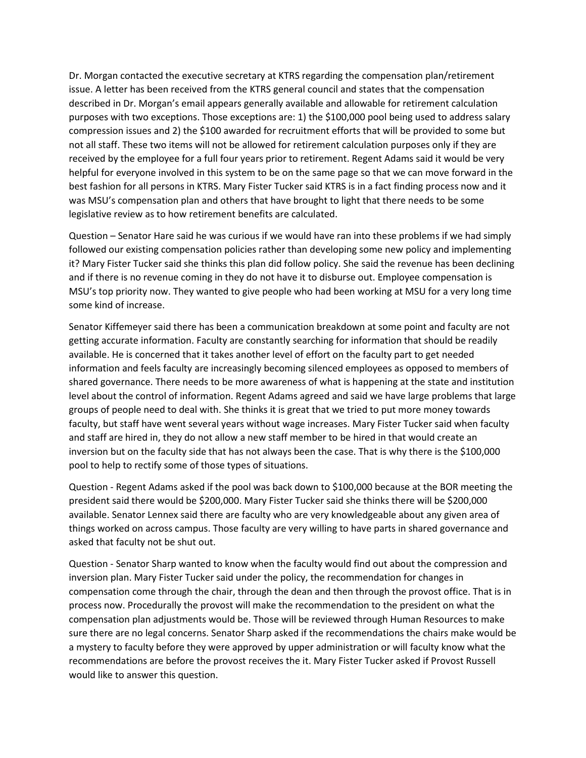Dr. Morgan contacted the executive secretary at KTRS regarding the compensation plan/retirement issue. A letter has been received from the KTRS general council and states that the compensation described in Dr. Morgan's email appears generally available and allowable for retirement calculation purposes with two exceptions. Those exceptions are: 1) the \$100,000 pool being used to address salary compression issues and 2) the \$100 awarded for recruitment efforts that will be provided to some but not all staff. These two items will not be allowed for retirement calculation purposes only if they are received by the employee for a full four years prior to retirement. Regent Adams said it would be very helpful for everyone involved in this system to be on the same page so that we can move forward in the best fashion for all persons in KTRS. Mary Fister Tucker said KTRS is in a fact finding process now and it was MSU's compensation plan and others that have brought to light that there needs to be some legislative review as to how retirement benefits are calculated.

Question – Senator Hare said he was curious if we would have ran into these problems if we had simply followed our existing compensation policies rather than developing some new policy and implementing it? Mary Fister Tucker said she thinks this plan did follow policy. She said the revenue has been declining and if there is no revenue coming in they do not have it to disburse out. Employee compensation is MSU's top priority now. They wanted to give people who had been working at MSU for a very long time some kind of increase.

Senator Kiffemeyer said there has been a communication breakdown at some point and faculty are not getting accurate information. Faculty are constantly searching for information that should be readily available. He is concerned that it takes another level of effort on the faculty part to get needed information and feels faculty are increasingly becoming silenced employees as opposed to members of shared governance. There needs to be more awareness of what is happening at the state and institution level about the control of information. Regent Adams agreed and said we have large problems that large groups of people need to deal with. She thinks it is great that we tried to put more money towards faculty, but staff have went several years without wage increases. Mary Fister Tucker said when faculty and staff are hired in, they do not allow a new staff member to be hired in that would create an inversion but on the faculty side that has not always been the case. That is why there is the \$100,000 pool to help to rectify some of those types of situations.

Question - Regent Adams asked if the pool was back down to \$100,000 because at the BOR meeting the president said there would be \$200,000. Mary Fister Tucker said she thinks there will be \$200,000 available. Senator Lennex said there are faculty who are very knowledgeable about any given area of things worked on across campus. Those faculty are very willing to have parts in shared governance and asked that faculty not be shut out.

Question - Senator Sharp wanted to know when the faculty would find out about the compression and inversion plan. Mary Fister Tucker said under the policy, the recommendation for changes in compensation come through the chair, through the dean and then through the provost office. That is in process now. Procedurally the provost will make the recommendation to the president on what the compensation plan adjustments would be. Those will be reviewed through Human Resources to make sure there are no legal concerns. Senator Sharp asked if the recommendations the chairs make would be a mystery to faculty before they were approved by upper administration or will faculty know what the recommendations are before the provost receives the it. Mary Fister Tucker asked if Provost Russell would like to answer this question.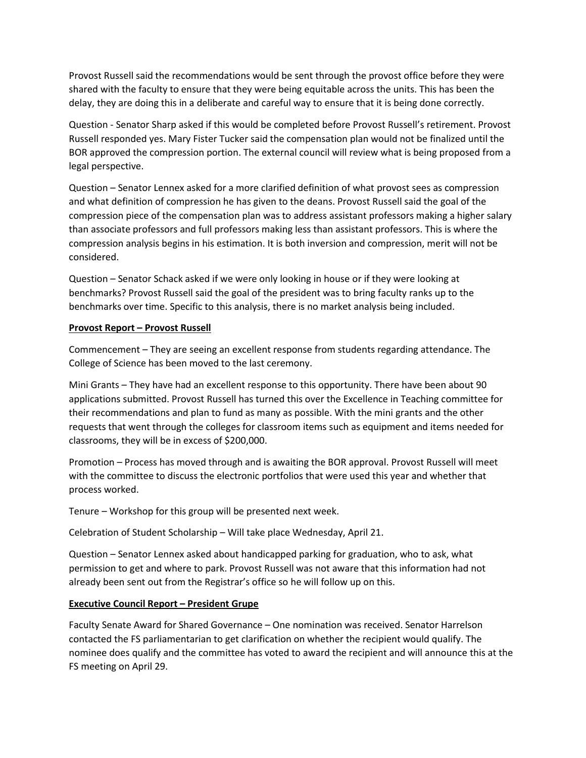Provost Russell said the recommendations would be sent through the provost office before they were shared with the faculty to ensure that they were being equitable across the units. This has been the delay, they are doing this in a deliberate and careful way to ensure that it is being done correctly.

Question - Senator Sharp asked if this would be completed before Provost Russell's retirement. Provost Russell responded yes. Mary Fister Tucker said the compensation plan would not be finalized until the BOR approved the compression portion. The external council will review what is being proposed from a legal perspective.

Question – Senator Lennex asked for a more clarified definition of what provost sees as compression and what definition of compression he has given to the deans. Provost Russell said the goal of the compression piece of the compensation plan was to address assistant professors making a higher salary than associate professors and full professors making less than assistant professors. This is where the compression analysis begins in his estimation. It is both inversion and compression, merit will not be considered.

Question – Senator Schack asked if we were only looking in house or if they were looking at benchmarks? Provost Russell said the goal of the president was to bring faculty ranks up to the benchmarks over time. Specific to this analysis, there is no market analysis being included.

#### **Provost Report – Provost Russell**

Commencement – They are seeing an excellent response from students regarding attendance. The College of Science has been moved to the last ceremony.

Mini Grants – They have had an excellent response to this opportunity. There have been about 90 applications submitted. Provost Russell has turned this over the Excellence in Teaching committee for their recommendations and plan to fund as many as possible. With the mini grants and the other requests that went through the colleges for classroom items such as equipment and items needed for classrooms, they will be in excess of \$200,000.

Promotion – Process has moved through and is awaiting the BOR approval. Provost Russell will meet with the committee to discuss the electronic portfolios that were used this year and whether that process worked.

Tenure – Workshop for this group will be presented next week.

Celebration of Student Scholarship – Will take place Wednesday, April 21.

Question – Senator Lennex asked about handicapped parking for graduation, who to ask, what permission to get and where to park. Provost Russell was not aware that this information had not already been sent out from the Registrar's office so he will follow up on this.

#### **Executive Council Report – President Grupe**

Faculty Senate Award for Shared Governance – One nomination was received. Senator Harrelson contacted the FS parliamentarian to get clarification on whether the recipient would qualify. The nominee does qualify and the committee has voted to award the recipient and will announce this at the FS meeting on April 29.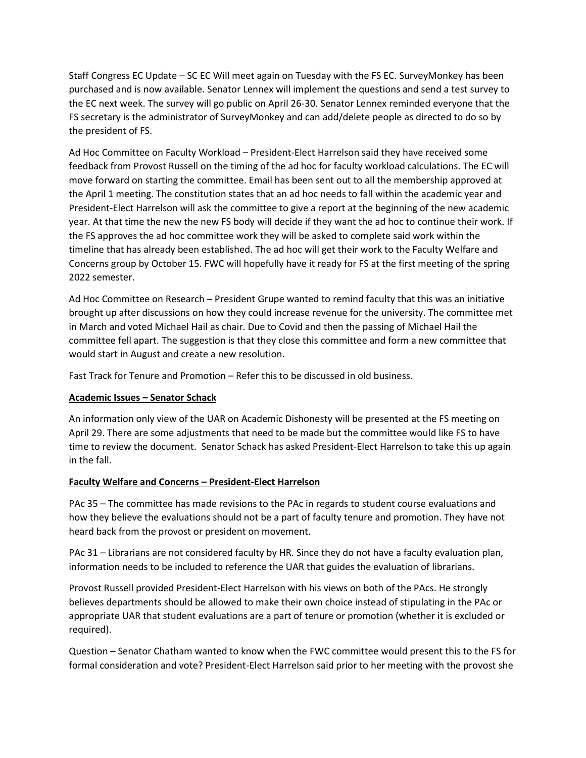Staff Congress EC Update – SC EC Will meet again on Tuesday with the FS EC. SurveyMonkey has been purchased and is now available. Senator Lennex will implement the questions and send a test survey to the EC next week. The survey will go public on April 26-30. Senator Lennex reminded everyone that the FS secretary is the administrator of SurveyMonkey and can add/delete people as directed to do so by the president of FS.

Ad Hoc Committee on Faculty Workload – President-Elect Harrelson said they have received some feedback from Provost Russell on the timing of the ad hoc for faculty workload calculations. The EC will move forward on starting the committee. Email has been sent out to all the membership approved at the April 1 meeting. The constitution states that an ad hoc needs to fall within the academic year and President-Elect Harrelson will ask the committee to give a report at the beginning of the new academic year. At that time the new the new FS body will decide if they want the ad hoc to continue their work. If the FS approves the ad hoc committee work they will be asked to complete said work within the timeline that has already been established. The ad hoc will get their work to the Faculty Welfare and Concerns group by October 15. FWC will hopefully have it ready for FS at the first meeting of the spring 2022 semester.

Ad Hoc Committee on Research – President Grupe wanted to remind faculty that this was an initiative brought up after discussions on how they could increase revenue for the university. The committee met in March and voted Michael Hail as chair. Due to Covid and then the passing of Michael Hail the committee fell apart. The suggestion is that they close this committee and form a new committee that would start in August and create a new resolution.

Fast Track for Tenure and Promotion – Refer this to be discussed in old business.

# **Academic Issues – Senator Schack**

An information only view of the UAR on Academic Dishonesty will be presented at the FS meeting on April 29. There are some adjustments that need to be made but the committee would like FS to have time to review the document. Senator Schack has asked President-Elect Harrelson to take this up again in the fall.

# **Faculty Welfare and Concerns – President-Elect Harrelson**

PAc 35 – The committee has made revisions to the PAc in regards to student course evaluations and how they believe the evaluations should not be a part of faculty tenure and promotion. They have not heard back from the provost or president on movement.

PAc 31 – Librarians are not considered faculty by HR. Since they do not have a faculty evaluation plan, information needs to be included to reference the UAR that guides the evaluation of librarians.

Provost Russell provided President-Elect Harrelson with his views on both of the PAcs. He strongly believes departments should be allowed to make their own choice instead of stipulating in the PAc or appropriate UAR that student evaluations are a part of tenure or promotion (whether it is excluded or required).

Question – Senator Chatham wanted to know when the FWC committee would present this to the FS for formal consideration and vote? President-Elect Harrelson said prior to her meeting with the provost she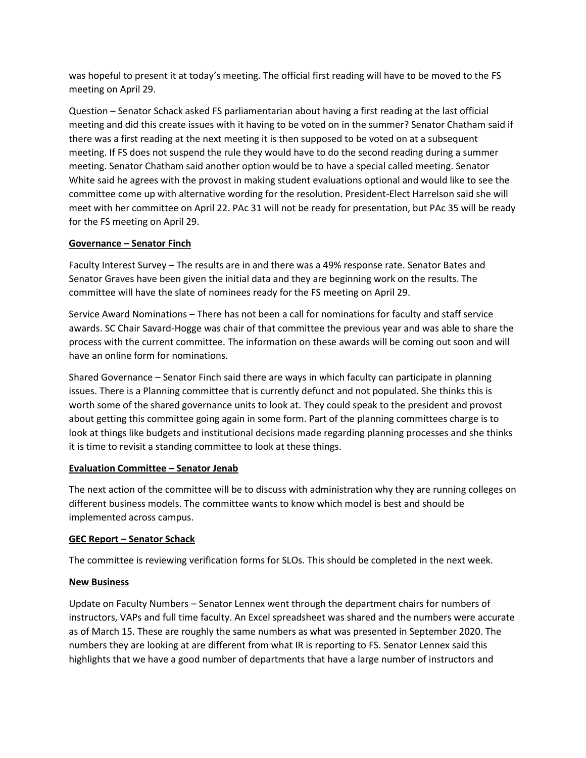was hopeful to present it at today's meeting. The official first reading will have to be moved to the FS meeting on April 29.

Question – Senator Schack asked FS parliamentarian about having a first reading at the last official meeting and did this create issues with it having to be voted on in the summer? Senator Chatham said if there was a first reading at the next meeting it is then supposed to be voted on at a subsequent meeting. If FS does not suspend the rule they would have to do the second reading during a summer meeting. Senator Chatham said another option would be to have a special called meeting. Senator White said he agrees with the provost in making student evaluations optional and would like to see the committee come up with alternative wording for the resolution. President-Elect Harrelson said she will meet with her committee on April 22. PAc 31 will not be ready for presentation, but PAc 35 will be ready for the FS meeting on April 29.

## **Governance – Senator Finch**

Faculty Interest Survey – The results are in and there was a 49% response rate. Senator Bates and Senator Graves have been given the initial data and they are beginning work on the results. The committee will have the slate of nominees ready for the FS meeting on April 29.

Service Award Nominations – There has not been a call for nominations for faculty and staff service awards. SC Chair Savard-Hogge was chair of that committee the previous year and was able to share the process with the current committee. The information on these awards will be coming out soon and will have an online form for nominations.

Shared Governance – Senator Finch said there are ways in which faculty can participate in planning issues. There is a Planning committee that is currently defunct and not populated. She thinks this is worth some of the shared governance units to look at. They could speak to the president and provost about getting this committee going again in some form. Part of the planning committees charge is to look at things like budgets and institutional decisions made regarding planning processes and she thinks it is time to revisit a standing committee to look at these things.

# **Evaluation Committee – Senator Jenab**

The next action of the committee will be to discuss with administration why they are running colleges on different business models. The committee wants to know which model is best and should be implemented across campus.

#### **GEC Report – Senator Schack**

The committee is reviewing verification forms for SLOs. This should be completed in the next week.

#### **New Business**

Update on Faculty Numbers – Senator Lennex went through the department chairs for numbers of instructors, VAPs and full time faculty. An Excel spreadsheet was shared and the numbers were accurate as of March 15. These are roughly the same numbers as what was presented in September 2020. The numbers they are looking at are different from what IR is reporting to FS. Senator Lennex said this highlights that we have a good number of departments that have a large number of instructors and